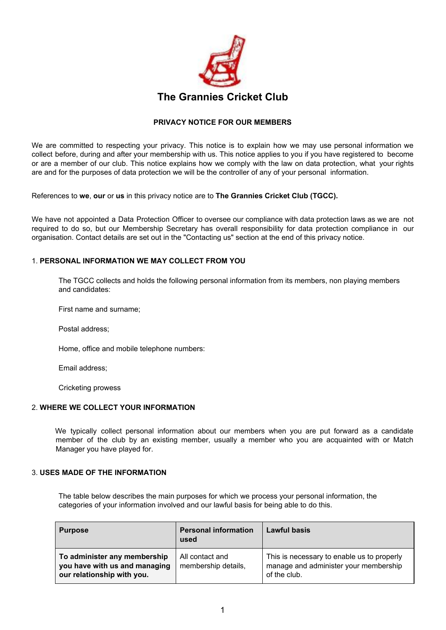

# **PRIVACY NOTICE FOR OUR MEMBERS**

We are committed to respecting your privacy. This notice is to explain how we may use personal information we collect before, during and after your membership with us. This notice applies to you if you have registered to become or are a member of our club. This notice explains how we comply with the law on data protection, what your rights are and for the purposes of data protection we will be the controller of any of your personal information.

References to **we**, **our** or **us** in this privacy notice are to **The Grannies Cricket Club (TGCC).**

We have not appointed a Data Protection Officer to oversee our compliance with data protection laws as we are not required to do so, but our Membership Secretary has overall responsibility for data protection compliance in our organisation. Contact details are set out in the "Contacting us" section at the end of this privacy notice.

#### 1. **PERSONAL INFORMATION WE MAY COLLECT FROM YOU**

The TGCC collects and holds the following personal information from its members, non playing members and candidates:

First name and surname;

Postal address;

Home, office and mobile telephone numbers:

Email address;

Cricketing prowess

## 2. **WHERE WE COLLECT YOUR INFORMATION**

We typically collect personal information about our members when you are put forward as a candidate member of the club by an existing member, usually a member who you are acquainted with or Match Manager you have played for.

#### 3. **USES MADE OF THE INFORMATION**

The table below describes the main purposes for which we process your personal information, the categories of your information involved and our lawful basis for being able to do this.

| <b>Purpose</b>                                                                              | <b>Personal information</b><br>used    | <b>Lawful basis</b>                                                                                 |
|---------------------------------------------------------------------------------------------|----------------------------------------|-----------------------------------------------------------------------------------------------------|
| To administer any membership<br>you have with us and managing<br>our relationship with you. | All contact and<br>membership details, | This is necessary to enable us to properly<br>manage and administer your membership<br>of the club. |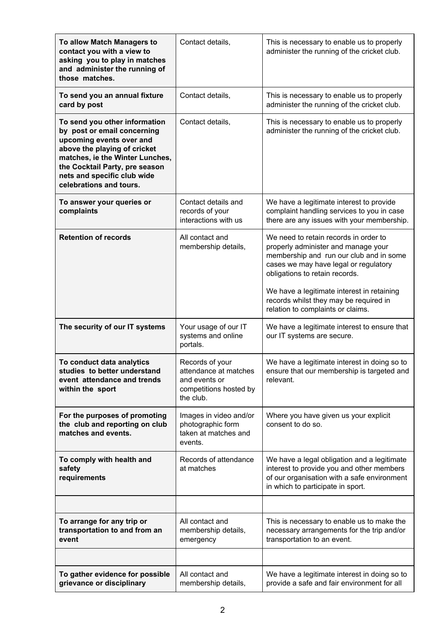| To allow Match Managers to<br>contact you with a view to<br>asking you to play in matches<br>and administer the running of<br>those matches.                                                                                                            | Contact details,                                                                                 | This is necessary to enable us to properly<br>administer the running of the cricket club.                                                                                                          |
|---------------------------------------------------------------------------------------------------------------------------------------------------------------------------------------------------------------------------------------------------------|--------------------------------------------------------------------------------------------------|----------------------------------------------------------------------------------------------------------------------------------------------------------------------------------------------------|
| To send you an annual fixture<br>card by post                                                                                                                                                                                                           | Contact details,                                                                                 | This is necessary to enable us to properly<br>administer the running of the cricket club.                                                                                                          |
| To send you other information<br>by post or email concerning<br>upcoming events over and<br>above the playing of cricket<br>matches, ie the Winter Lunches,<br>the Cocktail Party, pre season<br>nets and specific club wide<br>celebrations and tours. | Contact details,                                                                                 | This is necessary to enable us to properly<br>administer the running of the cricket club.                                                                                                          |
| To answer your queries or<br>complaints                                                                                                                                                                                                                 | Contact details and<br>records of your<br>interactions with us                                   | We have a legitimate interest to provide<br>complaint handling services to you in case<br>there are any issues with your membership.                                                               |
| <b>Retention of records</b>                                                                                                                                                                                                                             | All contact and<br>membership details,                                                           | We need to retain records in order to<br>properly administer and manage your<br>membership and run our club and in some<br>cases we may have legal or regulatory<br>obligations to retain records. |
|                                                                                                                                                                                                                                                         |                                                                                                  | We have a legitimate interest in retaining<br>records whilst they may be required in<br>relation to complaints or claims.                                                                          |
| The security of our IT systems                                                                                                                                                                                                                          | Your usage of our IT<br>systems and online<br>portals.                                           | We have a legitimate interest to ensure that<br>our IT systems are secure.                                                                                                                         |
| To conduct data analytics<br>studies to better understand<br>event attendance and trends<br>within the sport                                                                                                                                            | Records of your<br>attendance at matches<br>and events or<br>competitions hosted by<br>the club. | We have a legitimate interest in doing so to<br>ensure that our membership is targeted and<br>relevant.                                                                                            |
| For the purposes of promoting<br>the club and reporting on club<br>matches and events.                                                                                                                                                                  | Images in video and/or<br>photographic form<br>taken at matches and<br>events.                   | Where you have given us your explicit<br>consent to do so.                                                                                                                                         |
| To comply with health and<br>safety<br>requirements                                                                                                                                                                                                     | Records of attendance<br>at matches                                                              | We have a legal obligation and a legitimate<br>interest to provide you and other members<br>of our organisation with a safe environment<br>in which to participate in sport.                       |
|                                                                                                                                                                                                                                                         |                                                                                                  |                                                                                                                                                                                                    |
| To arrange for any trip or<br>transportation to and from an<br>event                                                                                                                                                                                    | All contact and<br>membership details,<br>emergency                                              | This is necessary to enable us to make the<br>necessary arrangements for the trip and/or<br>transportation to an event.                                                                            |
|                                                                                                                                                                                                                                                         |                                                                                                  |                                                                                                                                                                                                    |
| To gather evidence for possible<br>grievance or disciplinary                                                                                                                                                                                            | All contact and<br>membership details,                                                           | We have a legitimate interest in doing so to<br>provide a safe and fair environment for all                                                                                                        |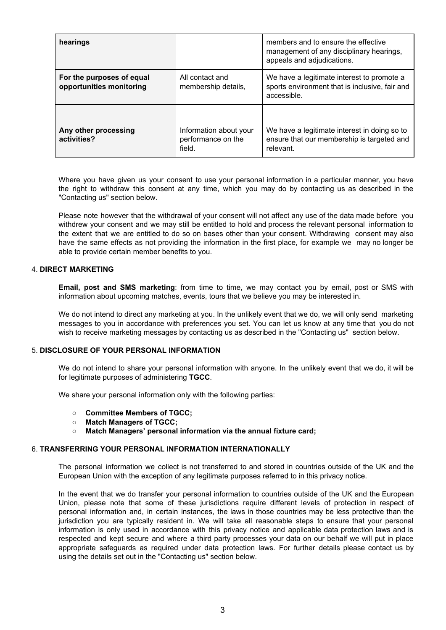| hearings                                              |                                                        | members and to ensure the effective<br>management of any disciplinary hearings,<br>appeals and adjudications. |
|-------------------------------------------------------|--------------------------------------------------------|---------------------------------------------------------------------------------------------------------------|
| For the purposes of equal<br>opportunities monitoring | All contact and<br>membership details,                 | We have a legitimate interest to promote a<br>sports environment that is inclusive, fair and<br>accessible.   |
|                                                       |                                                        |                                                                                                               |
| Any other processing<br>activities?                   | Information about your<br>performance on the<br>field. | We have a legitimate interest in doing so to<br>ensure that our membership is targeted and<br>relevant.       |

Where you have given us your consent to use your personal information in a particular manner, you have the right to withdraw this consent at any time, which you may do by contacting us as described in the "Contacting us" section below.

Please note however that the withdrawal of your consent will not affect any use of the data made before you withdrew your consent and we may still be entitled to hold and process the relevant personal information to the extent that we are entitled to do so on bases other than your consent. Withdrawing consent may also have the same effects as not providing the information in the first place, for example we may no longer be able to provide certain member benefits to you.

#### 4. **DIRECT MARKETING**

**Email, post and SMS marketing**: from time to time, we may contact you by email, post or SMS with information about upcoming matches, events, tours that we believe you may be interested in.

We do not intend to direct any marketing at you. In the unlikely event that we do, we will only send marketing messages to you in accordance with preferences you set. You can let us know at any time that you do not wish to receive marketing messages by contacting us as described in the "Contacting us" section below.

#### 5. **DISCLOSURE OF YOUR PERSONAL INFORMATION**

We do not intend to share your personal information with anyone. In the unlikely event that we do, it will be for legitimate purposes of administering **TGCC**.

We share your personal information only with the following parties:

- **○ Committee Members of TGCC;**
- **○ Match Managers of TGCC;**
- **○ Match Managers' personal information via the annual fixture card;**

#### 6. **TRANSFERRING YOUR PERSONAL INFORMATION INTERNATIONALLY**

The personal information we collect is not transferred to and stored in countries outside of the UK and the European Union with the exception of any legitimate purposes referred to in this privacy notice.

In the event that we do transfer your personal information to countries outside of the UK and the European Union, please note that some of these jurisdictions require different levels of protection in respect of personal information and, in certain instances, the laws in those countries may be less protective than the jurisdiction you are typically resident in. We will take all reasonable steps to ensure that your personal information is only used in accordance with this privacy notice and applicable data protection laws and is respected and kept secure and where a third party processes your data on our behalf we will put in place appropriate safeguards as required under data protection laws. For further details please contact us by using the details set out in the "Contacting us" section below.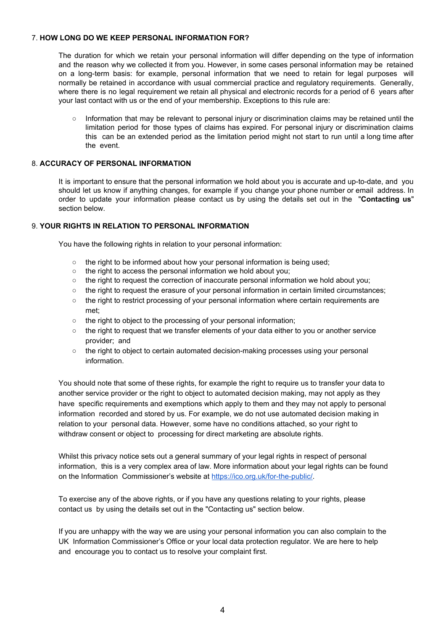#### 7. **HOW LONG DO WE KEEP PERSONAL INFORMATION FOR?**

The duration for which we retain your personal information will differ depending on the type of information and the reason why we collected it from you. However, in some cases personal information may be retained on a long-term basis: for example, personal information that we need to retain for legal purposes will normally be retained in accordance with usual commercial practice and regulatory requirements. Generally, where there is no legal requirement we retain all physical and electronic records for a period of 6 years after your last contact with us or the end of your membership. Exceptions to this rule are:

○ Information that may be relevant to personal injury or discrimination claims may be retained until the limitation period for those types of claims has expired. For personal injury or discrimination claims this can be an extended period as the limitation period might not start to run until a long time after the event.

# 8. **ACCURACY OF PERSONAL INFORMATION**

It is important to ensure that the personal information we hold about you is accurate and up-to-date, and you should let us know if anything changes, for example if you change your phone number or email address. In order to update your information please contact us by using the details set out in the "**Contacting us**" section below.

## 9. **YOUR RIGHTS IN RELATION TO PERSONAL INFORMATION**

You have the following rights in relation to your personal information:

- the right to be informed about how your personal information is being used;
- the right to access the personal information we hold about you:
- the right to request the correction of inaccurate personal information we hold about you;
- the right to request the erasure of your personal information in certain limited circumstances;
- the right to restrict processing of your personal information where certain requirements are met;
- the right to object to the processing of your personal information;
- $\circ$  the right to request that we transfer elements of your data either to you or another service provider; and
- the right to object to certain automated decision-making processes using your personal information.

You should note that some of these rights, for example the right to require us to transfer your data to another service provider or the right to object to automated decision making, may not apply as they have specific requirements and exemptions which apply to them and they may not apply to personal information recorded and stored by us. For example, we do not use automated decision making in relation to your personal data. However, some have no conditions attached, so your right to withdraw consent or object to processing for direct marketing are absolute rights.

Whilst this privacy notice sets out a general summary of your legal rights in respect of personal information, this is a very complex area of law. More information about your legal rights can be found on the Information Commissioner's website at [https://ico.org.uk/for-the-public/.](https://ico.org.uk/for-the-public/)

To exercise any of the above rights, or if you have any questions relating to your rights, please contact us by using the details set out in the "Contacting us" section below.

If you are unhappy with the way we are using your personal information you can also complain to the UK Information Commissioner's Office or your local data protection regulator. We are here to help and encourage you to contact us to resolve your complaint first.